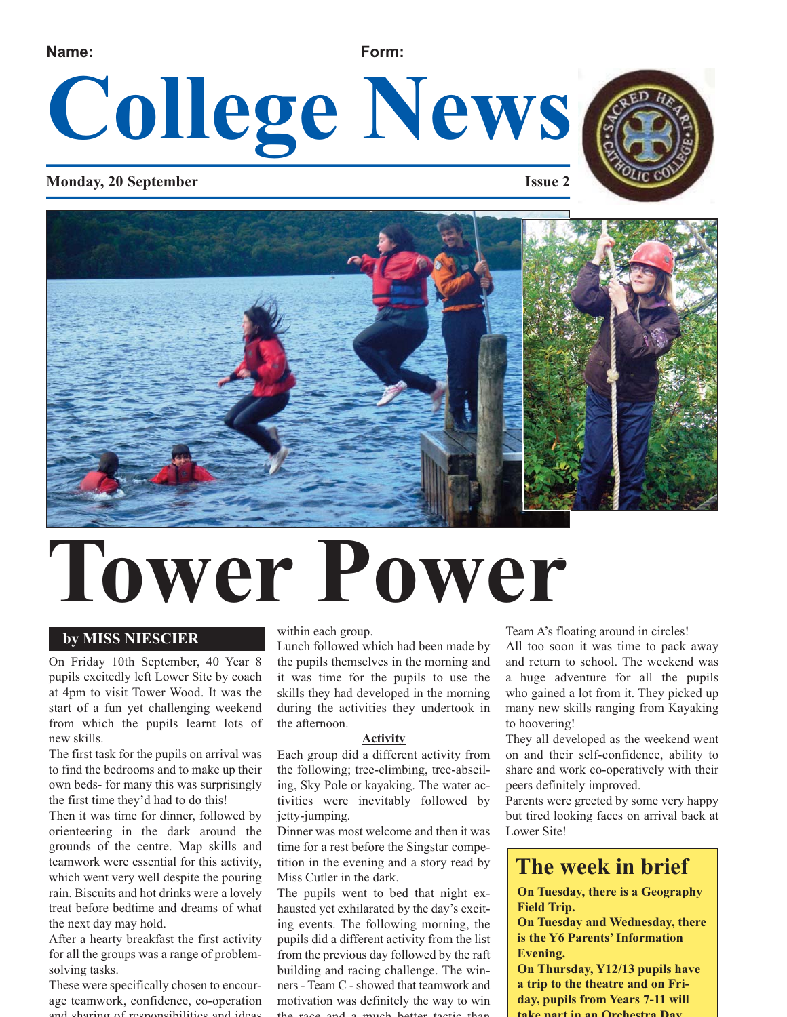**Name: Form:**

# **College News**

### **Monday, 20 September Issue 2**





# **Tower Power**

### **by MISS NIESCIER**

On Friday 10th September, 40 Year 8 pupils excitedly left Lower Site by coach at 4pm to visit Tower Wood. It was the start of a fun yet challenging weekend from which the pupils learnt lots of new skills.

The first task for the pupils on arrival was to find the bedrooms and to make up their own beds- for many this was surprisingly the first time they'd had to do this!

Then it was time for dinner, followed by orienteering in the dark around the grounds of the centre. Map skills and teamwork were essential for this activity, which went very well despite the pouring rain. Biscuits and hot drinks were a lovely treat before bedtime and dreams of what the next day may hold.

After a hearty breakfast the first activity for all the groups was a range of problemsolving tasks.

These were specifically chosen to encourage teamwork, confidence, co-operation and sharing of responsibilities and ideas

within each group.

Lunch followed which had been made by the pupils themselves in the morning and it was time for the pupils to use the skills they had developed in the morning during the activities they undertook in the afternoon.

#### **Activity**

Each group did a different activity from the following; tree-climbing, tree-abseiling, Sky Pole or kayaking. The water activities were inevitably followed by jetty-jumping.

Dinner was most welcome and then it was time for a rest before the Singstar competition in the evening and a story read by Miss Cutler in the dark.

The pupils went to bed that night exhausted yet exhilarated by the day's exciting events. The following morning, the pupils did a different activity from the list from the previous day followed by the raft building and racing challenge. The winners - Team C - showed that teamwork and motivation was definitely the way to win the race and a much better tactic than

Team A's floating around in circles!

All too soon it was time to pack away and return to school. The weekend was a huge adventure for all the pupils who gained a lot from it. They picked up many new skills ranging from Kayaking to hoovering!

They all developed as the weekend went on and their self-confidence, ability to share and work co-operatively with their peers definitely improved.

Parents were greeted by some very happy but tired looking faces on arrival back at Lower Site!

### **The week in brief**

**On Tuesday, there is a Geography Field Trip.** 

**On Tuesday and Wednesday, there is the Y6 Parents' Information Evening.** 

**On Thursday, Y12/13 pupils have a trip to the theatre and on Friday, pupils from Years 7-11 will take part in an Orchestra Day**